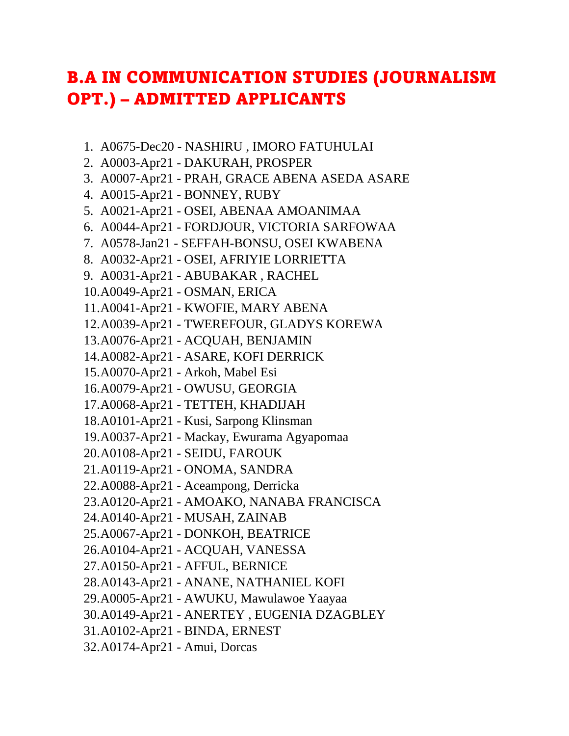## B.A IN COMMUNICATION STUDIES (JOURNALISM OPT.) – ADMITTED APPLICANTS

- 1. A0675-Dec20 NASHIRU , IMORO FATUHULAI
- 2. A0003-Apr21 DAKURAH, PROSPER
- 3. A0007-Apr21 PRAH, GRACE ABENA ASEDA ASARE
- 4. A0015-Apr21 BONNEY, RUBY
- 5. A0021-Apr21 OSEI, ABENAA AMOANIMAA
- 6. A0044-Apr21 FORDJOUR, VICTORIA SARFOWAA
- 7. A0578-Jan21 SEFFAH-BONSU, OSEI KWABENA
- 8. A0032-Apr21 OSEI, AFRIYIE LORRIETTA
- 9. A0031-Apr21 ABUBAKAR , RACHEL
- 10.A0049-Apr21 OSMAN, ERICA
- 11.A0041-Apr21 KWOFIE, MARY ABENA
- 12.A0039-Apr21 TWEREFOUR, GLADYS KOREWA
- 13.A0076-Apr21 ACQUAH, BENJAMIN
- 14.A0082-Apr21 ASARE, KOFI DERRICK
- 15.A0070-Apr21 Arkoh, Mabel Esi
- 16.A0079-Apr21 OWUSU, GEORGIA
- 17.A0068-Apr21 TETTEH, KHADIJAH
- 18.A0101-Apr21 Kusi, Sarpong Klinsman
- 19.A0037-Apr21 Mackay, Ewurama Agyapomaa
- 20.A0108-Apr21 SEIDU, FAROUK
- 21.A0119-Apr21 ONOMA, SANDRA
- 22.A0088-Apr21 Aceampong, Derricka
- 23.A0120-Apr21 AMOAKO, NANABA FRANCISCA
- 24.A0140-Apr21 MUSAH, ZAINAB
- 25.A0067-Apr21 DONKOH, BEATRICE
- 26.A0104-Apr21 ACQUAH, VANESSA
- 27.A0150-Apr21 AFFUL, BERNICE
- 28.A0143-Apr21 ANANE, NATHANIEL KOFI
- 29.A0005-Apr21 AWUKU, Mawulawoe Yaayaa
- 30.A0149-Apr21 ANERTEY , EUGENIA DZAGBLEY
- 31.A0102-Apr21 BINDA, ERNEST
- 32.A0174-Apr21 Amui, Dorcas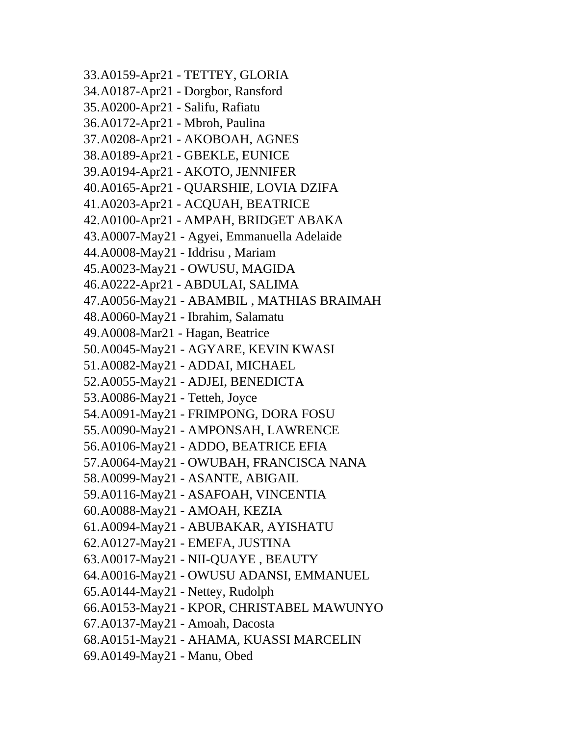33.A0159-Apr21 - TETTEY, GLORIA 34.A0187-Apr21 - Dorgbor, Ransford 35.A0200-Apr21 - Salifu, Rafiatu 36.A0172-Apr21 - Mbroh, Paulina 37.A0208-Apr21 - AKOBOAH, AGNES 38.A0189-Apr21 - GBEKLE, EUNICE 39.A0194-Apr21 - AKOTO, JENNIFER 40.A0165-Apr21 - QUARSHIE, LOVIA DZIFA 41.A0203-Apr21 - ACQUAH, BEATRICE 42.A0100-Apr21 - AMPAH, BRIDGET ABAKA 43.A0007-May21 - Agyei, Emmanuella Adelaide 44.A0008-May21 - Iddrisu , Mariam 45.A0023-May21 - OWUSU, MAGIDA 46.A0222-Apr21 - ABDULAI, SALIMA 47.A0056-May21 - ABAMBIL , MATHIAS BRAIMAH 48.A0060-May21 - Ibrahim, Salamatu 49.A0008-Mar21 - Hagan, Beatrice 50.A0045-May21 - AGYARE, KEVIN KWASI 51.A0082-May21 - ADDAI, MICHAEL 52.A0055-May21 - ADJEI, BENEDICTA 53.A0086-May21 - Tetteh, Joyce 54.A0091-May21 - FRIMPONG, DORA FOSU 55.A0090-May21 - AMPONSAH, LAWRENCE 56.A0106-May21 - ADDO, BEATRICE EFIA 57.A0064-May21 - OWUBAH, FRANCISCA NANA 58.A0099-May21 - ASANTE, ABIGAIL 59.A0116-May21 - ASAFOAH, VINCENTIA 60.A0088-May21 - AMOAH, KEZIA 61.A0094-May21 - ABUBAKAR, AYISHATU 62.A0127-May21 - EMEFA, JUSTINA 63.A0017-May21 - NII-QUAYE , BEAUTY 64.A0016-May21 - OWUSU ADANSI, EMMANUEL 65.A0144-May21 - Nettey, Rudolph 66.A0153-May21 - KPOR, CHRISTABEL MAWUNYO 67.A0137-May21 - Amoah, Dacosta 68.A0151-May21 - AHAMA, KUASSI MARCELIN 69.A0149-May21 - Manu, Obed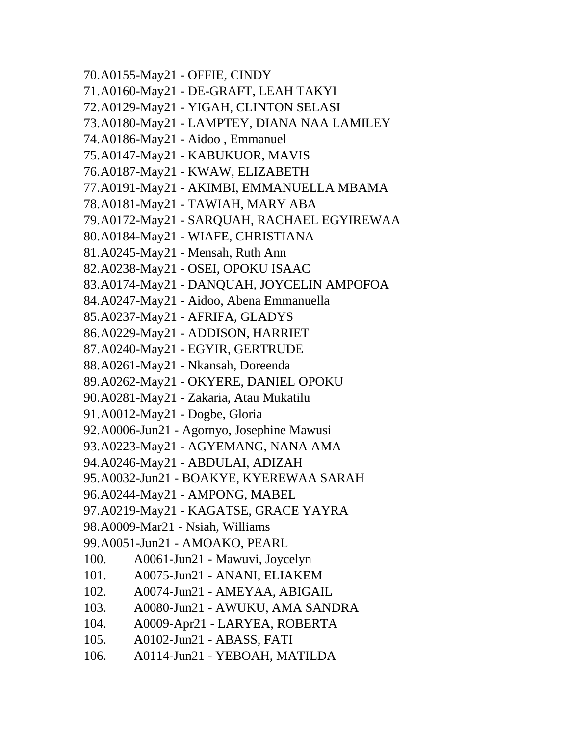70.A0155-May21 - OFFIE, CINDY 71.A0160-May21 - DE-GRAFT, LEAH TAKYI 72.A0129-May21 - YIGAH, CLINTON SELASI 73.A0180-May21 - LAMPTEY, DIANA NAA LAMILEY 74.A0186-May21 - Aidoo , Emmanuel 75.A0147-May21 - KABUKUOR, MAVIS 76.A0187-May21 - KWAW, ELIZABETH 77.A0191-May21 - AKIMBI, EMMANUELLA MBAMA 78.A0181-May21 - TAWIAH, MARY ABA 79.A0172-May21 - SARQUAH, RACHAEL EGYIREWAA 80.A0184-May21 - WIAFE, CHRISTIANA 81.A0245-May21 - Mensah, Ruth Ann 82.A0238-May21 - OSEI, OPOKU ISAAC 83.A0174-May21 - DANQUAH, JOYCELIN AMPOFOA 84.A0247-May21 - Aidoo, Abena Emmanuella 85.A0237-May21 - AFRIFA, GLADYS 86.A0229-May21 - ADDISON, HARRIET 87.A0240-May21 - EGYIR, GERTRUDE 88.A0261-May21 - Nkansah, Doreenda 89.A0262-May21 - OKYERE, DANIEL OPOKU 90.A0281-May21 - Zakaria, Atau Mukatilu 91.A0012-May21 - Dogbe, Gloria 92.A0006-Jun21 - Agornyo, Josephine Mawusi 93.A0223-May21 - AGYEMANG, NANA AMA 94.A0246-May21 - ABDULAI, ADIZAH 95.A0032-Jun21 - BOAKYE, KYEREWAA SARAH 96.A0244-May21 - AMPONG, MABEL 97.A0219-May21 - KAGATSE, GRACE YAYRA 98.A0009-Mar21 - Nsiah, Williams 99.A0051-Jun21 - AMOAKO, PEARL 100. A0061-Jun21 - Mawuvi, Joycelyn 101. A0075-Jun21 - ANANI, ELIAKEM 102. A0074-Jun21 - AMEYAA, ABIGAIL 103. A0080-Jun21 - AWUKU, AMA SANDRA 104. A0009-Apr21 - LARYEA, ROBERTA 105. A0102-Jun21 - ABASS, FATI 106. A0114-Jun21 - YEBOAH, MATILDA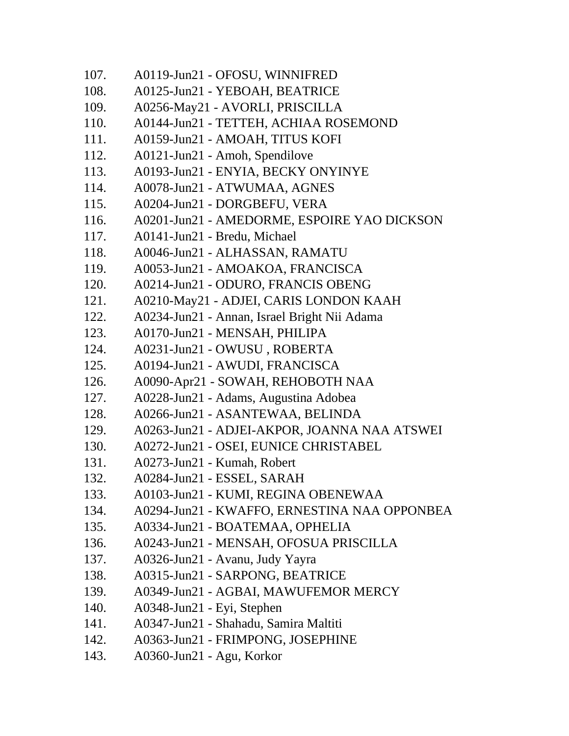| A0119-Jun21 - OFOSU, WINNIFRED               |
|----------------------------------------------|
| A0125-Jun21 - YEBOAH, BEATRICE               |
| A0256-May21 - AVORLI, PRISCILLA              |
| A0144-Jun21 - TETTEH, ACHIAA ROSEMOND        |
| A0159-Jun21 - AMOAH, TITUS KOFI              |
| A0121-Jun21 - Amoh, Spendilove               |
| A0193-Jun21 - ENYIA, BECKY ONYINYE           |
| A0078-Jun21 - ATWUMAA, AGNES                 |
| A0204-Jun21 - DORGBEFU, VERA                 |
| A0201-Jun21 - AMEDORME, ESPOIRE YAO DICKSON  |
| A0141-Jun21 - Bredu, Michael                 |
| A0046-Jun21 - ALHASSAN, RAMATU               |
| A0053-Jun21 - AMOAKOA, FRANCISCA             |
| A0214-Jun21 - ODURO, FRANCIS OBENG           |
| A0210-May21 - ADJEI, CARIS LONDON KAAH       |
| A0234-Jun21 - Annan, Israel Bright Nii Adama |
| A0170-Jun21 - MENSAH, PHILIPA                |
| A0231-Jun21 - OWUSU, ROBERTA                 |
| A0194-Jun21 - AWUDI, FRANCISCA               |
| A0090-Apr21 - SOWAH, REHOBOTH NAA            |
| A0228-Jun21 - Adams, Augustina Adobea        |
| A0266-Jun21 - ASANTEWAA, BELINDA             |
| A0263-Jun21 - ADJEI-AKPOR, JOANNA NAA ATSWEI |
| A0272-Jun21 - OSEI, EUNICE CHRISTABEL        |
| A0273-Jun21 - Kumah, Robert                  |
| A0284-Jun21 - ESSEL, SARAH                   |
| A0103-Jun21 - KUMI, REGINA OBENEWAA          |
| A0294-Jun21 - KWAFFO, ERNESTINA NAA OPPONBEA |
| A0334-Jun21 - BOATEMAA, OPHELIA              |
| A0243-Jun21 - MENSAH, OFOSUA PRISCILLA       |
| A0326-Jun21 - Avanu, Judy Yayra              |
| A0315-Jun21 - SARPONG, BEATRICE              |
| A0349-Jun21 - AGBAI, MAWUFEMOR MERCY         |
| A0348-Jun21 - Eyi, Stephen                   |
| A0347-Jun21 - Shahadu, Samira Maltiti        |
| A0363-Jun21 - FRIMPONG, JOSEPHINE            |
| A0360-Jun21 - Agu, Korkor                    |
|                                              |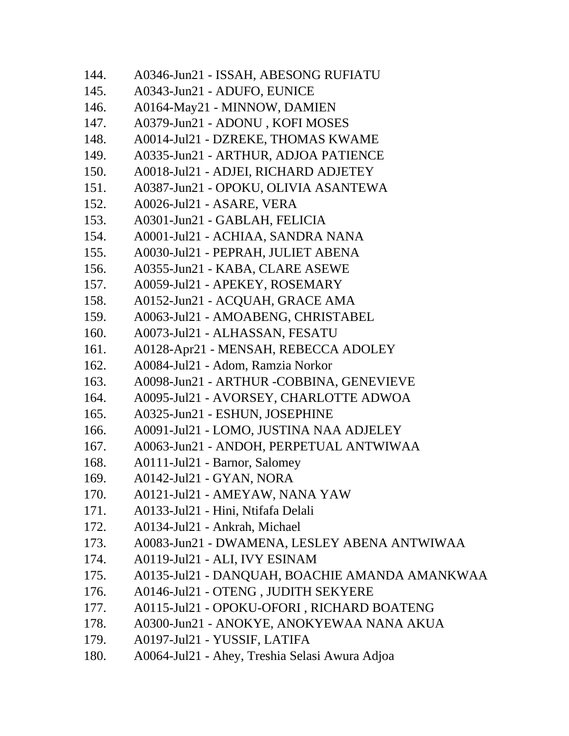| 144. | A0346-Jun21 - ISSAH, ABESONG RUFIATU           |
|------|------------------------------------------------|
| 145. | A0343-Jun21 - ADUFO, EUNICE                    |
| 146. | A0164-May21 - MINNOW, DAMIEN                   |
| 147. | A0379-Jun21 - ADONU, KOFI MOSES                |
| 148. | A0014-Jul21 - DZREKE, THOMAS KWAME             |
| 149. | A0335-Jun21 - ARTHUR, ADJOA PATIENCE           |
| 150. | A0018-Jul21 - ADJEI, RICHARD ADJETEY           |
| 151. | A0387-Jun21 - OPOKU, OLIVIA ASANTEWA           |
| 152. | A0026-Jul21 - ASARE, VERA                      |
| 153. | A0301-Jun21 - GABLAH, FELICIA                  |
| 154. | A0001-Jul21 - ACHIAA, SANDRA NANA              |
| 155. | A0030-Jul21 - PEPRAH, JULIET ABENA             |
| 156. | A0355-Jun21 - KABA, CLARE ASEWE                |
| 157. | A0059-Jul21 - APEKEY, ROSEMARY                 |
| 158. | A0152-Jun21 - ACQUAH, GRACE AMA                |
| 159. | A0063-Jul21 - AMOABENG, CHRISTABEL             |
| 160. | A0073-Jul21 - ALHASSAN, FESATU                 |
| 161. | A0128-Apr21 - MENSAH, REBECCA ADOLEY           |
| 162. | A0084-Jul21 - Adom, Ramzia Norkor              |
| 163. | A0098-Jun21 - ARTHUR -COBBINA, GENEVIEVE       |
| 164. | A0095-Jul21 - AVORSEY, CHARLOTTE ADWOA         |
| 165. | A0325-Jun21 - ESHUN, JOSEPHINE                 |
| 166. | A0091-Jul21 - LOMO, JUSTINA NAA ADJELEY        |
| 167. | A0063-Jun21 - ANDOH, PERPETUAL ANTWIWAA        |
| 168. | A0111-Jul21 - Barnor, Salomey                  |
| 169. | A0142-Jul21 - GYAN, NORA                       |
| 170. | A0121-Jul21 - AMEYAW, NANA YAW                 |
| 171. | A0133-Jul21 - Hini, Ntifafa Delali             |
| 172. | A0134-Jul21 - Ankrah, Michael                  |
| 173. | A0083-Jun21 - DWAMENA, LESLEY ABENA ANTWIWAA   |
| 174. | A0119-Jul21 - ALI, IVY ESINAM                  |
| 175. | A0135-Jul21 - DANQUAH, BOACHIE AMANDA AMANKWAA |
| 176. | A0146-Jul21 - OTENG, JUDITH SEKYERE            |
| 177. | A0115-Jul21 - OPOKU-OFORI, RICHARD BOATENG     |
| 178. | A0300-Jun21 - ANOKYE, ANOKYEWAA NANA AKUA      |
| 179. | A0197-Jul21 - YUSSIF, LATIFA                   |
| 180. | A0064-Jul21 - Ahey, Treshia Selasi Awura Adjoa |
|      |                                                |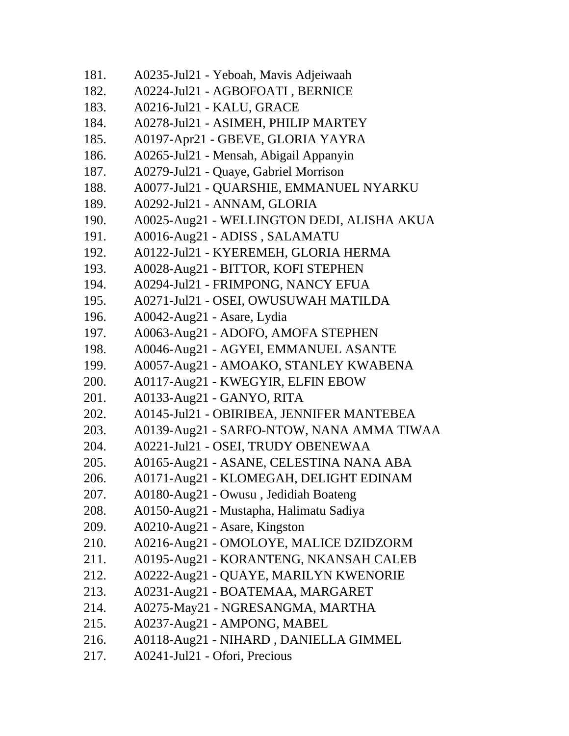| 181. | A0235-Jul21 - Yeboah, Mavis Adjeiwaah      |
|------|--------------------------------------------|
| 182. | A0224-Jul21 - AGBOFOATI, BERNICE           |
| 183. | A0216-Jul21 - KALU, GRACE                  |
| 184. | A0278-Jul21 - ASIMEH, PHILIP MARTEY        |
| 185. | A0197-Apr21 - GBEVE, GLORIA YAYRA          |
| 186. | A0265-Jul21 - Mensah, Abigail Appanyin     |
| 187. | A0279-Jul21 - Quaye, Gabriel Morrison      |
| 188. | A0077-Jul21 - QUARSHIE, EMMANUEL NYARKU    |
| 189. | A0292-Jul21 - ANNAM, GLORIA                |
| 190. | A0025-Aug21 - WELLINGTON DEDI, ALISHA AKUA |
| 191. | A0016-Aug21 - ADISS, SALAMATU              |
| 192. | A0122-Jul21 - KYEREMEH, GLORIA HERMA       |
| 193. | A0028-Aug21 - BITTOR, KOFI STEPHEN         |
| 194. | A0294-Jul21 - FRIMPONG, NANCY EFUA         |
| 195. | A0271-Jul21 - OSEI, OWUSUWAH MATILDA       |
| 196. | A0042-Aug21 - Asare, Lydia                 |
| 197. | A0063-Aug21 - ADOFO, AMOFA STEPHEN         |
| 198. | A0046-Aug21 - AGYEI, EMMANUEL ASANTE       |
| 199. | A0057-Aug21 - AMOAKO, STANLEY KWABENA      |
| 200. | A0117-Aug21 - KWEGYIR, ELFIN EBOW          |
| 201. | A0133-Aug21 - GANYO, RITA                  |
| 202. | A0145-Jul21 - OBIRIBEA, JENNIFER MANTEBEA  |
| 203. | A0139-Aug21 - SARFO-NTOW, NANA AMMA TIWAA  |
| 204. | A0221-Jul21 - OSEI, TRUDY OBENEWAA         |
| 205. | A0165-Aug21 - ASANE, CELESTINA NANA ABA    |
| 206. | A0171-Aug21 - KLOMEGAH, DELIGHT EDINAM     |
| 207. | A0180-Aug21 - Owusu, Jedidiah Boateng      |
| 208. | A0150-Aug21 - Mustapha, Halimatu Sadiya    |
| 209. | A0210-Aug21 - Asare, Kingston              |
| 210. | A0216-Aug21 - OMOLOYE, MALICE DZIDZORM     |
| 211. | A0195-Aug21 - KORANTENG, NKANSAH CALEB     |
| 212. | A0222-Aug21 - QUAYE, MARILYN KWENORIE      |
| 213. | A0231-Aug21 - BOATEMAA, MARGARET           |
| 214. | A0275-May21 - NGRESANGMA, MARTHA           |
| 215. | A0237-Aug21 - AMPONG, MABEL                |
| 216. | A0118-Aug21 - NIHARD, DANIELLA GIMMEL      |
| 217. | A0241-Jul21 - Ofori, Precious              |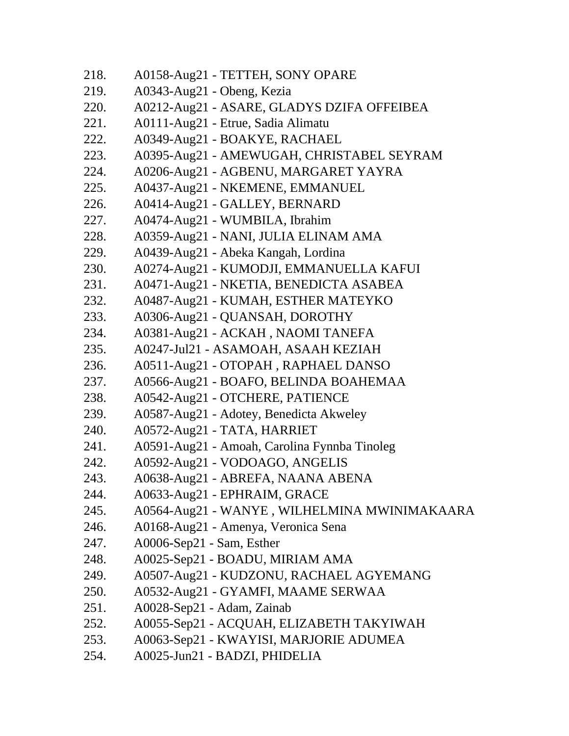| 218. | A0158-Aug21 - TETTEH, SONY OPARE             |
|------|----------------------------------------------|
| 219. | A0343-Aug21 - Obeng, Kezia                   |
| 220. | A0212-Aug21 - ASARE, GLADYS DZIFA OFFEIBEA   |
| 221. | A0111-Aug21 - Etrue, Sadia Alimatu           |
| 222. | A0349-Aug21 - BOAKYE, RACHAEL                |
| 223. | A0395-Aug21 - AMEWUGAH, CHRISTABEL SEYRAM    |
| 224. | A0206-Aug21 - AGBENU, MARGARET YAYRA         |
| 225. | A0437-Aug21 - NKEMENE, EMMANUEL              |
| 226. | A0414-Aug21 - GALLEY, BERNARD                |
| 227. | A0474-Aug21 - WUMBILA, Ibrahim               |
| 228. | A0359-Aug21 - NANI, JULIA ELINAM AMA         |
| 229. | A0439-Aug21 - Abeka Kangah, Lordina          |
| 230. | A0274-Aug21 - KUMODJI, EMMANUELLA KAFUI      |
| 231. | A0471-Aug21 - NKETIA, BENEDICTA ASABEA       |
| 232. | A0487-Aug21 - KUMAH, ESTHER MATEYKO          |
| 233. | A0306-Aug21 - QUANSAH, DOROTHY               |
| 234. | A0381-Aug21 - ACKAH, NAOMI TANEFA            |
| 235. | A0247-Jul21 - ASAMOAH, ASAAH KEZIAH          |
| 236. | A0511-Aug21 - OTOPAH, RAPHAEL DANSO          |
| 237. | A0566-Aug21 - BOAFO, BELINDA BOAHEMAA        |
| 238. | A0542-Aug21 - OTCHERE, PATIENCE              |
| 239. | A0587-Aug21 - Adotey, Benedicta Akweley      |
| 240. | A0572-Aug21 - TATA, HARRIET                  |
| 241. | A0591-Aug21 - Amoah, Carolina Fynnba Tinoleg |
| 242. | A0592-Aug21 - VODOAGO, ANGELIS               |
| 243. | A0638-Aug21 - ABREFA, NAANA ABENA            |
| 244. | A0633-Aug21 - EPHRAIM, GRACE                 |
| 245. | A0564-Aug21 - WANYE, WILHELMINA MWINIMAKAARA |
| 246. | A0168-Aug21 - Amenya, Veronica Sena          |
| 247. | A0006-Sep21 - Sam, Esther                    |
| 248. | A0025-Sep21 - BOADU, MIRIAM AMA              |
| 249. | A0507-Aug21 - KUDZONU, RACHAEL AGYEMANG      |
| 250. | A0532-Aug21 - GYAMFI, MAAME SERWAA           |
| 251. | A0028-Sep21 - Adam, Zainab                   |
| 252. | A0055-Sep21 - ACQUAH, ELIZABETH TAKYIWAH     |
| 253. | A0063-Sep21 - KWAYISI, MARJORIE ADUMEA       |
| 254. | A0025-Jun21 - BADZI, PHIDELIA                |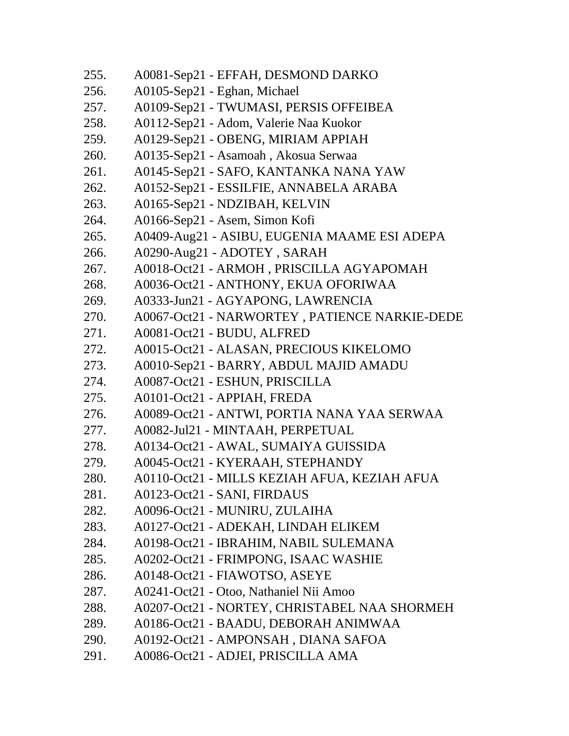| 255. | A0081-Sep21 - EFFAH, DESMOND DARKO            |
|------|-----------------------------------------------|
| 256. | A0105-Sep21 - Eghan, Michael                  |
| 257. | A0109-Sep21 - TWUMASI, PERSIS OFFEIBEA        |
| 258. | A0112-Sep21 - Adom, Valerie Naa Kuokor        |
| 259. | A0129-Sep21 - OBENG, MIRIAM APPIAH            |
| 260. | A0135-Sep21 - Asamoah, Akosua Serwaa          |
| 261. | A0145-Sep21 - SAFO, KANTANKA NANA YAW         |
| 262. | A0152-Sep21 - ESSILFIE, ANNABELA ARABA        |
| 263. | A0165-Sep21 - NDZIBAH, KELVIN                 |
| 264. | A0166-Sep21 - Asem, Simon Kofi                |
| 265. | A0409-Aug21 - ASIBU, EUGENIA MAAME ESI ADEPA  |
| 266. | A0290-Aug21 - ADOTEY, SARAH                   |
| 267. | A0018-Oct21 - ARMOH, PRISCILLA AGYAPOMAH      |
| 268. | A0036-Oct21 - ANTHONY, EKUA OFORIWAA          |
| 269. | A0333-Jun21 - AGYAPONG, LAWRENCIA             |
| 270. | A0067-Oct21 - NARWORTEY, PATIENCE NARKIE-DEDE |
| 271. | A0081-Oct21 - BUDU, ALFRED                    |
| 272. | A0015-Oct21 - ALASAN, PRECIOUS KIKELOMO       |
| 273. | A0010-Sep21 - BARRY, ABDUL MAJID AMADU        |
| 274. | A0087-Oct21 - ESHUN, PRISCILLA                |
| 275. | A0101-Oct21 - APPIAH, FREDA                   |
| 276. | A0089-Oct21 - ANTWI, PORTIA NANA YAA SERWAA   |
| 277. | A0082-Jul21 - MINTAAH, PERPETUAL              |
| 278. | A0134-Oct21 - AWAL, SUMAIYA GUISSIDA          |
| 279. | A0045-Oct21 - KYERAAH, STEPHANDY              |
| 280. | A0110-Oct21 - MILLS KEZIAH AFUA, KEZIAH AFUA  |
| 281. | A0123-Oct21 - SANI, FIRDAUS                   |
| 282. | A0096-Oct21 - MUNIRU, ZULAIHA                 |
| 283. | A0127-Oct21 - ADEKAH, LINDAH ELIKEM           |
| 284. | A0198-Oct21 - IBRAHIM, NABIL SULEMANA         |
| 285. | A0202-Oct21 - FRIMPONG, ISAAC WASHIE          |
| 286. | A0148-Oct21 - FIAWOTSO, ASEYE                 |
| 287. | A0241-Oct21 - Otoo, Nathaniel Nii Amoo        |
| 288. | A0207-Oct21 - NORTEY, CHRISTABEL NAA SHORMEH  |
| 289. | A0186-Oct21 - BAADU, DEBORAH ANIMWAA          |
| 290. | A0192-Oct21 - AMPONSAH, DIANA SAFOA           |
| 291. | A0086-Oct21 - ADJEI, PRISCILLA AMA            |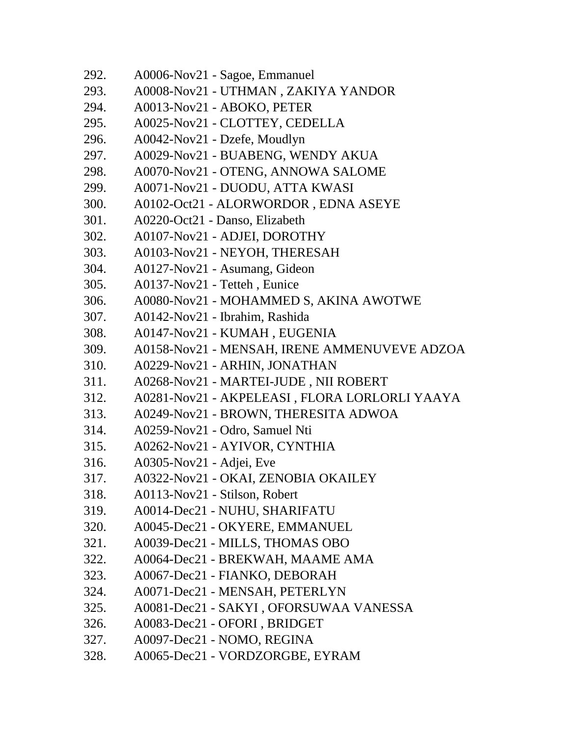| 292. | A0006-Nov21 - Sagoe, Emmanuel                 |
|------|-----------------------------------------------|
| 293. | A0008-Nov21 - UTHMAN, ZAKIYA YANDOR           |
| 294. | A0013-Nov21 - ABOKO, PETER                    |
| 295. | A0025-Nov21 - CLOTTEY, CEDELLA                |
| 296. | A0042-Nov21 - Dzefe, Moudlyn                  |
| 297. | A0029-Nov21 - BUABENG, WENDY AKUA             |
| 298. | A0070-Nov21 - OTENG, ANNOWA SALOME            |
| 299. | A0071-Nov21 - DUODU, ATTA KWASI               |
| 300. | A0102-Oct21 - ALORWORDOR, EDNA ASEYE          |
| 301. | A0220-Oct21 - Danso, Elizabeth                |
| 302. | A0107-Nov21 - ADJEI, DOROTHY                  |
| 303. | A0103-Nov21 - NEYOH, THERESAH                 |
| 304. | A0127-Nov21 - Asumang, Gideon                 |
| 305. | A0137-Nov21 - Tetteh, Eunice                  |
| 306. | A0080-Nov21 - MOHAMMED S, AKINA AWOTWE        |
| 307. | A0142-Nov21 - Ibrahim, Rashida                |
| 308. | A0147-Nov21 - KUMAH, EUGENIA                  |
| 309. | A0158-Nov21 - MENSAH, IRENE AMMENUVEVE ADZOA  |
| 310. | A0229-Nov21 - ARHIN, JONATHAN                 |
| 311. | A0268-Nov21 - MARTEI-JUDE, NII ROBERT         |
| 312. | A0281-Nov21 - AKPELEASI, FLORA LORLORLI YAAYA |
| 313. | A0249-Nov21 - BROWN, THERESITA ADWOA          |
| 314. | A0259-Nov21 - Odro, Samuel Nti                |
| 315. | A0262-Nov21 - AYIVOR, CYNTHIA                 |
| 316. | A0305-Nov21 - Adjei, Eve                      |
| 317. | A0322-Nov21 - OKAI, ZENOBIA OKAILEY           |
| 318. | A0113-Nov21 - Stilson, Robert                 |
| 319. | A0014-Dec21 - NUHU, SHARIFATU                 |
| 320. | A0045-Dec21 - OKYERE, EMMANUEL                |
| 321. | A0039-Dec21 - MILLS, THOMAS OBO               |
| 322. | A0064-Dec21 - BREKWAH, MAAME AMA              |
| 323. | A0067-Dec21 - FIANKO, DEBORAH                 |
| 324. | A0071-Dec21 - MENSAH, PETERLYN                |
| 325. | A0081-Dec21 - SAKYI, OFORSUWAA VANESSA        |
| 326. | A0083-Dec21 - OFORI, BRIDGET                  |
| 327. | A0097-Dec21 - NOMO, REGINA                    |
| 328. | A0065-Dec21 - VORDZORGBE, EYRAM               |